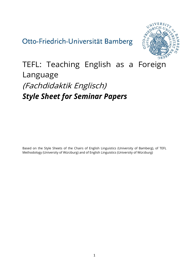## Otto-Friedrich-Universität Bamberg



# TEFL: Teaching English as a Foreign Language (Fachdidaktik Englisch) *Style Sheet for Seminar Papers*

Based on the Style Sheets of the Chairs of English Linguistics (University of Bamberg), of TEFL Methodology (University of Würzburg) and of English Linguistics (University of Würzburg)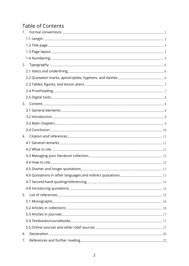## **Table of Contents**

| 1. |  |
|----|--|
|    |  |
|    |  |
|    |  |
|    |  |
| 2. |  |
|    |  |
|    |  |
|    |  |
|    |  |
|    |  |
| 3. |  |
|    |  |
|    |  |
|    |  |
|    |  |
| 4. |  |
|    |  |
|    |  |
|    |  |
|    |  |
|    |  |
|    |  |
|    |  |
|    |  |
| 5. |  |
|    |  |
|    |  |
|    |  |
|    |  |
|    |  |
| 6. |  |
| 7. |  |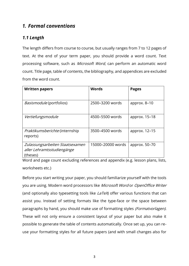## <span id="page-2-0"></span>*1. Formal conventions*

## <span id="page-2-1"></span>*1.1 Length*

The length differs from course to course, but usually ranges from 7 to 12 pages of text. At the end of your term paper, you should provide a word count. Text processing software, such as Microsoft Word, can perform an automatic word count. Title page, table of contents, the bibliography, and appendices are excluded from the word count.

| <b>Written papers</b>                                                     | <b>Words</b>      | <b>Pages</b>   |
|---------------------------------------------------------------------------|-------------------|----------------|
| <i>Basismodule</i> (portfolios)                                           | 2500-3200 words   | approx. $8-10$ |
| Vertiefungsmodule                                                         | 4500-5500 words   | approx. 15–18  |
| <i>Praktikumsberichte</i> (internship<br>reports)                         | 3500-4500 words   | approx. 12–15  |
| Zulassungsarbeiten Staatsexamen<br>aller Lehramtsstudiengänge<br>(theses) | 15000-20000 words | approx. 50–70  |

Word and page count excluding references and appendix (e.g. lesson plans, lists, worksheets etc.)

Before you start writing your paper, you should familiarize yourself with the tools you are using. Modern word processors like Microsoft Word or OpenOffice Writer (and optionally also typesetting tools like  $LaTeX$ ) offer various functions that can assist you. Instead of setting formats like the type-face or the space between paragraphs by hand, you should make use of formatting styles (Formatvorlagen). These will not only ensure a consistent layout of your paper but also make it possible to generate the table of contents automatically. Once set up, you can reuse your formatting styles for all future papers (and with small changes also for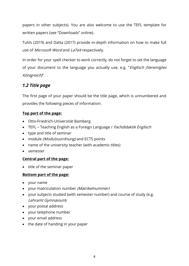papers in other subjects). You are also welcome to use the TEFL template for written papers (see "Downloads" online).

Tuhls (2019) and Datta (2017) provide in-depth information on how to make full use of Microsoft Word and LaTeX respectively.

In order for your spell checker to work correctly, do not forget to set the language of your document to the language you actually use, e.g. "Englisch (Vereinigtes Königreich)".

## <span id="page-3-0"></span>*1.2 Title page*

The first page of your paper should be the title page, which is unnumbered and provides the following pieces of information:

#### **Top part of the page:**

- Otto-Friedrich-Universität Bamberg
- TEFL Teaching English as a Foreign Language / Fachdidaktik Englisch
- type and title of seminar
- module *(Modulzuordnung)* and ECTS points
- name of the university teacher (with academic titles)
- semester

#### **Central part of the page:**

• title of the seminar paper

#### **Bottom part of the page:**

- your name
- your matriculation number (Matrikelnummer)
- your subjects studied (with semester number) and course of study (e.g. Lehramt Gymnasium)
- your postal address
- your telephone number
- your email address
- the date of handing in your paper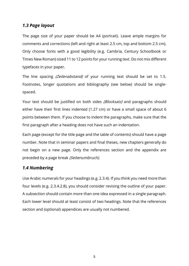### <span id="page-4-0"></span>*1.3 Page layout*

The page size of your paper should be A4 (portrait). Leave ample margins for comments and corrections (left and right at least 2.5 cm, top and bottom 2.5 cm). Only choose fonts with a good legibility (e.g. Cambria, Century Schoolbook or Times New Roman) sized 11 to 12 points for your running text. Do not mix different typefaces in your paper.

The line spacing (Zeilenabstand) of your running text should be set to 1.5. Footnotes, longer quotations and bibliography (see below) should be singlespaced.

Your text should be justified on both sides (Blocksatz) and paragraphs should either have their first lines indented (1.27 cm) or have a small space of about 6 points between them. If you choose to indent the paragraphs, make sure that the first paragraph after a heading does not have such an indentation.

Each page (except for the title page and the table of contents) should have a page number. Note that in seminar papers and final theses, new chapters generally do not begin on a new page. Only the references section and the appendix are preceded by a page break (Seitenumbruch).

## <span id="page-4-1"></span>*1.4 Numbering*

Use Arabic numerals for your headings (e.g. 2.3.4). If you think you need more than four levels (e.g. 2.3.4.2.8), you should consider revising the outline of your paper. A subsection should contain more than one idea expressed in a single paragraph. Each lower level should at least consist of two headings. Note that the references section and (optional) appendices are usually not numbered.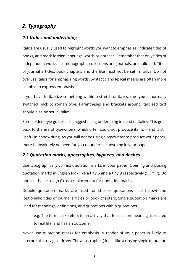## <span id="page-5-0"></span>*2. Typography*

## <span id="page-5-1"></span>*2.1 Italics and underlining*

Italics are usually used to highlight words you want to emphasize, indicate titles of books, and mark foreign-language words or phrases. Remember that only titles of independent works, i.e. monographs, collections and journals, are italicized. Titles of journal articles, book chapters and the like must not be set in italics. Do not overuse italics for emphasizing words. Syntactic and lexical means are often more suitable to express emphasis.

If you have to italicize something within a stretch of italics, the type is normally switched back to roman type. Parentheses and brackets around italicized text should also be set in italics.

Some older style guides still suggest using underlining instead of italics. This goes back to the era of typewriters, which often could not produce italics – and is still useful in handwriting. As you will not be using a typewriter to produce your paper, there is absolutely no need for you to underline anything in your paper.

## <span id="page-5-2"></span>*2.2 Quotation marks, apostrophes, hyphens, and dashes*

Use typographically correct quotation marks in your paper. Opening and closing quotation marks in English look like a tiny 6 and a tiny 9 respectively ('…', "…"). Do not use the inch sign (") as a replacement for quotation marks.

Double quotation marks are used for shorter quotations (see below) and (optionally) titles of journal articles or book chapters. Single quotation marks are used for meanings, definitions, and quotations within quotations.

e.g. The term 'task' refers to an activity that focuses on meaning, is related to real life, and has an outcome.

Never use quotation marks for emphasis. A reader of your paper is likely to interpret this usage as irony. The apostrophe (') looks like a closing single quotation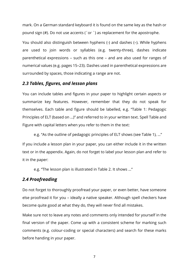mark. On a German standard keyboard it is found on the same key as the hash or pound sign (#). Do not use accents (´or `) as replacement for the apostrophe.

You should also distinguish between hyphens (-) and dashes (–). While hyphens are used to join words or syllables (e.g. twenty-three), dashes indicate parenthetical expressions – such as this one – and are also used for ranges of numerical values (e.g. pages 15–23). Dashes used in parenthetical expressions are surrounded by spaces, those indicating a range are not.

#### <span id="page-6-0"></span>*2.3 Tables, figures, and lesson plans*

You can include tables and figures in your paper to highlight certain aspects or summarize key features. However, remember that they do not speak for themselves. Each table and figure should be labelled, e.g. "Table 1: Pedagogic Principles of ELT (based on …)" and referred to in your written text. Spell Table and Figure with capital letters when you refer to them in the text:

e.g. "As the outline of pedagogic principles of ELT shows (see Table 1), …"

If you include a lesson plan in your paper, you can either include it in the written text or in the appendix. Again, do not forget to label your lesson plan and refer to it in the paper:

e.g. "The lesson plan is illustrated in Table 2. It shows …"

#### <span id="page-6-1"></span>*2.4 Proofreading*

Do not forget to thoroughly proofread your paper, or even better, have someone else proofread it for you – ideally a native speaker. Although spell checkers have become quite good at what they do, they will never find all mistakes.

Make sure not to leave any notes and comments only intended for yourself in the final version of the paper. Come up with a consistent scheme for marking such comments (e.g. colour-coding or special characters) and search for these marks before handing in your paper.

7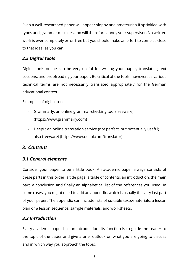Even a well-researched paper will appear sloppy and amateurish if sprinkled with typos and grammar mistakes and will therefore annoy your supervisor. No written work is ever completely error-free but you should make an effort to come as close to that ideal as you can.

## <span id="page-7-0"></span>*2.5 Digital tools*

Digital tools online can be very useful for writing your paper, translating text sections, and proofreading your paper. Be critical of the tools, however, as various technical terms are not necessarily translated appropriately for the German educational context.

Examples of digital tools:

- Grammarly: an online grammar-checking tool (freeware) [\(https://www.grammarly.com\)](https://www.grammarly.com/)
- DeepL: an online translation service (not perfect, but potentially useful; also freeware) [\(https://www.deepl.com/translator\)](https://www.deepl.com/translator)

## <span id="page-7-1"></span>*3. Content*

## <span id="page-7-2"></span>*3.1 General elements*

Consider your paper to be a little book. An academic paper always consists of these parts in this order: a title page, a table of contents, an introduction, the main part, a conclusion and finally an alphabetical list of the references you used. In some cases, you might need to add an appendix, which is usually the very last part of your paper. The appendix can include lists of suitable texts/materials, a lesson plan or a lesson sequence, sample materials, and worksheets.

## <span id="page-7-3"></span>*3.2 Introduction*

Every academic paper has an introduction. Its function is to guide the reader to the topic of the paper and give a brief outlook on what you are going to discuss and in which way you approach the topic.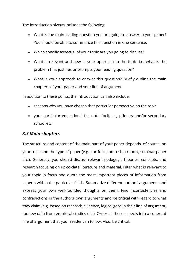The introduction always includes the following:

- What is the main leading question you are going to answer in your paper? You should be able to summarize this question in one sentence.
- Which specific aspect(s) of your topic are you going to discuss?
- What is relevant and new in your approach to the topic, i.e. what is the problem that justifies or prompts your leading question?
- What is your approach to answer this question? Briefly outline the main chapters of your paper and your line of argument.

In addition to these points, the introduction can also include:

- reasons why you have chosen that particular perspective on the topic
- your particular educational focus (or foci), e.g. primary and/or secondary school etc.

#### <span id="page-8-0"></span>*3.3 Main chapters*

The structure and content of the main part of your paper depends, of course, on your topic and the type of paper (e.g. portfolio, internship report, seminar paper etc.). Generally, you should discuss relevant pedagogic theories, concepts, and research focusing on up-to-date literature and material. Filter what is relevant to your topic in focus and quote the most important pieces of information from experts within the particular fields. Summarize different authors' arguments and express your own well-founded thoughts on them. Find inconsistencies and contradictions in the authors' own arguments and be critical with regard to what they claim (e.g. based on research evidence, logical gaps in their line of argument, too few data from empirical studies etc.). Order all these aspects into a coherent line of argument that your reader can follow. Also, be critical.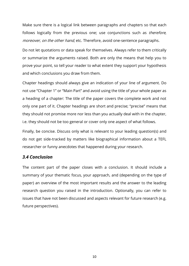Make sure there is a logical link between paragraphs and chapters so that each follows logically from the previous one; use conjunctions such as *therefore*, moreover, on the other hand, etc. Therefore, avoid one-sentence paragraphs.

Do not let quotations or data speak for themselves. Always refer to them critically or summarize the arguments raised. Both are only the means that help you to prove your point, so tell your reader to what extent they support your hypothesis and which conclusions you draw from them.

Chapter headings should always give an indication of your line of argument. Do not use "Chapter 1" or "Main Part" and avoid using the title of your whole paper as a heading of a chapter: The title of the paper covers the complete work and not only one part of it. Chapter headings are short and precise; "precise" means that they should not promise more nor less than you actually deal with in the chapter, i.e. they should not be too general or cover only one aspect of what follows.

Finally, be concise. Discuss only what is relevant to your leading question(s) and do not get side-tracked by matters like biographical information about a TEFL researcher or funny anecdotes that happened during your research.

#### <span id="page-9-0"></span>*3.4 Conclusion*

The content part of the paper closes with a conclusion. It should include a summary of your thematic focus, your approach, and (depending on the type of paper) an overview of the most important results and the answer to the leading research question you raised in the introduction. Optionally, you can refer to issues that have not been discussed and aspects relevant for future research (e.g. future perspectives).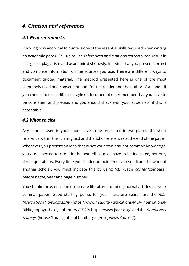## <span id="page-10-0"></span>*4. Citation and references*

#### <span id="page-10-1"></span>*4.1 General remarks*

Knowing how and what to quote is one of the essential skills required when writing an academic paper. Failure to use references and citations correctly can result in charges of plagiarism and academic dishonesty. It is vital that you present correct and complete information on the sources you use. There are different ways to document quoted material. The method presented here is one of the most commonly used and convenient both for the reader and the author of a paper. If you choose to use a different style of documentation, remember that you have to be consistent and precise, and you should check with your supervisor if this is acceptable.

#### <span id="page-10-2"></span>*4.2 What to cite*

Any sources used in your paper have to be presented in two places: the short reference within the running text and the list of references at the end of the paper. Whenever you present an idea that is not your own and not common knowledge, you are expected to cite it in the text. All sources have to be indicated, not only direct quotations. Every time you render an opinion or a result from the work of another scholar, you must indicate this by using "cf." (Latin *confer* 'compare') before name, year and page number.

You should focus on citing up-to-date literature including journal articles for your seminar paper. Good starting points for your literature search are the MLA International Bibliography (https://www.mla.org/Publications/MLA-International-Bibliography), the digital library *JSTOR* (https://www.jstor.org/) and the *Bamberger* Katalog [\(https://katalog.ub.uni-bamberg.de/ubg-www/Katalog/\)](https://katalog.ub.uni-bamberg.de/ubg-www/Katalog/).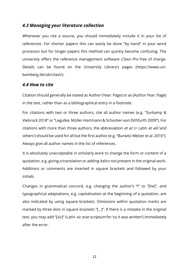#### <span id="page-11-0"></span>*4.3 Managing your literature collection*

Whenever you cite a source, you should immediately include it in your list of references. For shorter papers this can easily be done "by hand" in your word processor but for longer papers this method can quickly become confusing. The university offers the reference management software *Citavi Pro* free of charge. Details can be found on the University Library's pages ([https://www.uni](https://www.uni-bamberg.de/ub/citavi/)[bamberg.de/ub/citavi/\)](https://www.uni-bamberg.de/ub/citavi/).

#### <span id="page-11-1"></span>*4.4 How to cite*

Citation should generally be stated as Author (Year: Page) or as (Author Year: Page) in the text, rather than as a bibliographical entry in a footnote.

For citations with two or three authors, cite all author names (e.g. "Surkamp & Viebrock 2018" or "Legutke, Müller-Hartmann & Schocker-von Dithfurth 2009"). For citations with more than three authors, the abbreviation  $et$  al. (= Latin  $et$  alii'and others') should be used for all but the first author (e.g. "Burwitz-Melzer et al. 2016"). Always give all author names in the list of references.

It is absolutely unacceptable in scholarly work to change the form or content of a quotation, e.g. giving a translation or adding italics not present in the original work. Additions or comments are inserted in square brackets and followed by your initials.

Changes in grammatical concord, e.g. changing the author's "I" to "[he]", and typographical adaptations, e.g. capitalization at the beginning of a quotation, are also indicated by using square brackets. Omissions within quotation marks are marked by three dots in square brackets "[…]". If there is a mistake in the original text, you may add "[sic]" (Latin *sic erat scriptum* for 'so it was written') immediately after the error.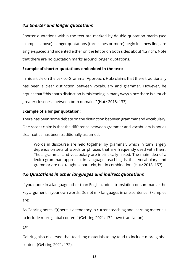## <span id="page-12-0"></span>*4.5 Shorter and longer quotations*

Shorter quotations within the text are marked by double quotation marks (see examples above). Longer quotations (three lines or more) begin in a new line, are single-spaced and indented either on the left or on both sides about 1.27 cm. Note that there are no quotation marks around longer quotations.

#### **Example of shorter quotations embedded in the text:**

In his article on the Lexico-Grammar Approach, Hutz claims that there traditionally has been a clear distinction between vocabulary and grammar. However, he argues that "this sharp distinction is misleading in many ways since there is a much greater closeness between both domains" (Hutz 2018: 133).

#### **Example of a longer quotation:**

There has been some debate on the distinction between grammar and vocabulary. One recent claim is that the difference between grammar and vocabulary is not as clear cut as has been traditionally assumed:

Words in discourse are held together by grammar, which in turn largely depends on sets of words or phrases that are frequently used with them. Thus, grammar and vocabulary are intrinsically linked. The main idea of a lexico-grammar approach in language teaching is that vocabulary and grammar are not taught separately, but in combination. (Hutz 2018: 157)

## <span id="page-12-1"></span>*4.6 Quotations in other languages and indirect quotations*

If you quote in a language other than English, add a translation or summarize the key argument in your own words. Do not mix languages in one sentence. Examples are:

As Gehring notes, "[t]here is a tendency in current teaching and learning materials to include more global content" (Gehring 2021: 172; own translation).

Or

Gehring also observed that teaching materials today tend to include more global content (Gehring 2021: 172).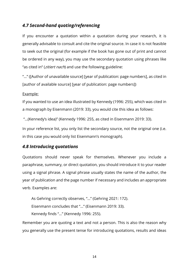## <span id="page-13-0"></span>*4.7 Second-hand quoting/referencing*

If you encounter a quotation within a quotation during your research, it is generally advisable to consult and cite the original source. In case it is not feasible to seek out the original (for example if the book has gone out of print and cannot be ordered in any way), you may use the secondary quotation using phrases like "as cited in" (*zitiert nach*) and use the following guideline:

"…" ([Author of unavailable source] [year of publication: page numbers], as cited in [author of available source] [year of publication: page numbers])

#### Example:

If you wanted to use an idea illustrated by Kennedy (1996: 255), which was cited in a monograph by Eisenmann (2019: 33), you would cite this idea as follows:

"…(Kennedy's idea)" (Kennedy 1996: 255, as cited in Eisenmann 2019: 33).

In your reference list, you only list the secondary source, not the original one (i.e. in this case you would only list Eisenmann's monograph).

#### <span id="page-13-1"></span>*4.8 Introducing quotations*

Quotations should never speak for themselves. Whenever you include a paraphrase, summary, or direct quotation, you should introduce it to your reader using a signal phrase. A signal phrase usually states the name of the author, the year of publication and the page number if necessary and includes an appropriate verb. Examples are:

As Gehring correctly observes, "…" (Gehring 2021: 172). Eisenmann concludes that "…" (Eisenmann 2019: 33). Kennedy finds "…" (Kennedy 1996: 255).

Remember you are quoting a text and not a person. This is also the reason why you generally use the present tense for introducing quotations, results and ideas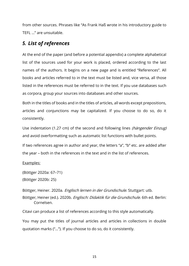from other sources. Phrases like "As Frank Haß wrote in his introductory guide to TEFL …" are unsuitable.

## <span id="page-14-0"></span>*5. List of references*

At the end of the paper (and before a potential appendix) a complete alphabetical list of the sources used for your work is placed, ordered according to the last names of the authors. It begins on a new page and is entitled "References". All books and articles referred to in the text must be listed and, vice versa, all those listed in the references must be referred to in the text. If you use databases such as corpora, group your sources into databases and other sources.

Both in the titles of books and in the titles of articles, all words except prepositions, articles and conjunctions may be capitalized. If you choose to do so, do it consistently.

Use indentation (1.27 cm) of the second and following lines *(hängender Einzug)* and avoid overformatting such as automatic list functions with bullet points.

If two references agree in author and year, the letters "a", "b" etc. are added after the year – both in the references in the text and in the list of references.

Examples:

(Böttger 2020a: 67–71) (Böttger 2020b: 25)

Böttger, Heiner. 2020a. Englisch lernen in der Grundschule. Stuttgart: utb. Böttger, Heiner (ed.). 2020b. Englisch: Didaktik für die Grundschule. 6th ed. Berlin: Cornelsen.

Citavi can produce a list of references according to this style automatically.

You may put the titles of journal articles and articles in collections in double quotation marks ("…"). If you choose to do so, do it consistently.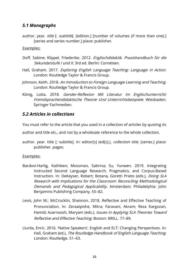### <span id="page-15-0"></span>*5.1 Monographs*

author. year. *title* [: *subtitle*]. [edition.] [number of volumes (if more than one).] [series and series number.] place: publisher.

#### Examples:

- Doff, Sabine; Klippel, Friederike. 2012. Englischdidaktik. Praxishandbuch für die Sekundarstufe I und II. 3rd ed. Berlin: Cornelsen.
- Hall, Graham. 2017. Exploring English Language Teaching: Language in Action. London: Routledge Taylor & Francis Group.
- Johnson, Keith. 2018. An Introduction to Foreign Language Learning and Teaching. London: Routledge Taylor & Francis Group.
- König, Lotta. 2018. Gender-Reflexion Mit Literatur Im Englischunterricht: Fremdsprachendidaktische Theorie Und Unterrichtsbeispiele. Wiesbaden: Springer Fachmedien.

#### <span id="page-15-1"></span>*5.2 Articles in collections*

You must refer to the article that you used in a collection of articles by quoting its

author and title etc., and not by a wholesale reference to the whole collection.

author. year. title [: subtitle]. In: editor[s] (ed[s].), *collection title.* [series.] place: publisher. pages.

#### Examples:

- Bardovi-Harlig, Kathleen; Mossman, Sabrina; Su, Yunwen. 2019. Integrating Instructed Second Language Research, Pragmatics, and Corpus-Based Instruction. In: DeKeyser, Robert; Botana, Goretti Prieto (eds.), Doing SLA Research with Implications for the Classroom: Reconciling Methodological Demands and Pedagogical Applicability. Amsterdam; Philadelphia: John Benjamins Publishing Company. 55–82.
- Levis, John M.; McCrocklin, Shannon. 2018. Reflective and Effective Teaching of Pronunciation. In: Zeraatpishe, Mitra; Faravani, Akram; Reza Kargozari, Hamid; Azarnoosh, Maryam (eds.), *Issues in Applying SLA Theories Toward* Reflective and Effective Teaching. Boston: BRILL. 77–89.
- Llurda, Enric. 2016. 'Native Speakers', English and ELT: Changing Perspectives. In: Hall, Graham (ed.), The Routledge Handbook of English Language Teaching. London: Routledge. 51–63.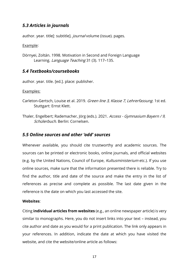## <span id="page-16-0"></span>*5.3 Articles in journals*

author. year. title[: subtitle]. *journal* volume (issue). pages.

#### Example:

Dörnyei, Zoltán. 1998. Motivation in Second and Foreign Language Learning. Language Teaching 31 (3). 117-135.

### <span id="page-16-1"></span>*5.4 Textbooks/coursebooks*

author. year. title. [ed.]. place: publisher.

Examples:

- Carleton-Gertsch, Louise et al. 2019. Green line 3, Klasse 7, Lehrerfassung. 1st ed. Stuttgart: Ernst Klett.
- Thaler, Engelbert; Rademacher, Jörg (eds.). 2021. Access Gymnasium Bayern / 9, Schülerbuch. Berlin: Cornelsen.

## <span id="page-16-2"></span>*5.5 Online sources and other 'odd' sources*

Whenever available, you should cite trustworthy and academic sources. The sources can be printed or electronic books, online journals, and official websites (e.g. by the United Nations, Council of Europe, Kultusministerium etc.). If you use online sources, make sure that the information presented there is reliable. Try to find the author, title and date of the source and make the entry in the list of references as precise and complete as possible. The last date given in the reference is the date on which you last accessed the site.

#### **Websites**:

Citing **individual articles from websites** (e.g., an online newspaper article) is very similar to monographs. Here, you do not insert links into your text – instead, you cite author and date as you would for a print publication. The link only appears in your references. In addition, indicate the date at which you have visited the website, and cite the website/online article as follows: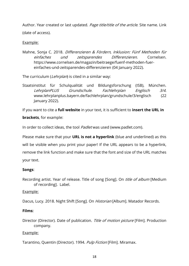Author. Year created or last updated. Page title/title of the article. Site name. Link (date of access).

#### Example:

Mahne, Sonja C. 2018. Differenzieren & Fördern, Inklusion: Fünf Methoden für einfaches und zeitsparendes Differenzieren. Cornelsen. https://www.cornelsen.de/magazin/beitraege/fuenf-methoden-fuereinfaches-und-zeitsparendes-differenzieren (04 January 2022).

The curriculum (Lehrplan) is cited in a similar way:

Staatsinstitut für Schulqualität und Bildungsforschung (ISB), München. LehrplanPLUS Grundschule. Fachlehrplan Englisch 3/4. www.lehrplanplus.bayern.de/fachlehrplan/grundschule/3/englisch (22 January 2022).

If you want to cite a **full website** in your text, it is sufficient to **insert the URL in** 

**brackets**, for example:

In order to collect ideas, the tool *Padlet* was used (www.padlet.com).

Please make sure that your **URL is not a hyperlink** (blue and underlined) as this will be visible when you print your paper! If the URL appears to be a hyperlink, remove the link function and make sure that the font and size of the URL matches your text.

#### **Songs**:

Recording artist. Year of release. Title of song [Song]. On *title of album* [Medium of recording]. Label.

Example:

Dacus, Lucy. 2018. Night Shift [Song]. On *Historian* [Album]. Matador Records.

#### **Films:**

Director (Director). Date of publication. Title of motion picture [Film]. Production company.

#### Example:

Tarantino, Quentin (Director). 1994. Pulp Fiction [Film]. Miramax.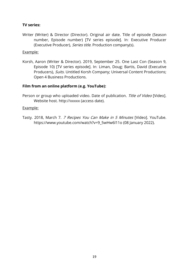#### **TV series:**

Writer (Writer) & Director (Director). Original air date. Title of episode (Season number, Episode number) [TV series episode]. In: Executive Producer (Executive Producer), Series title. Production company(s).

#### Example:

Korsh, Aaron (Writer & Director). 2019, September 25. One Last Con (Season 9, Episode 10) [TV series episode]. In: Liman, Doug; Bartis, David (Executive Producers), Suits. Untitled Korsh Company; Universal Content Productions; Open 4 Business Productions.

#### **Film from an online platform (e.g. YouTube):**

Person or group who uploaded video. Date of publication. Title of Video [Video]. Website host. http://xxxxx (access date).

#### Example:

Tasty. 2018, March 7. 7 Recipes You Can Make in 5 Minutes [Video]. YouTube. https://www.youtube.com/watch?v=9\_5wHw6l11o (08 January 2022).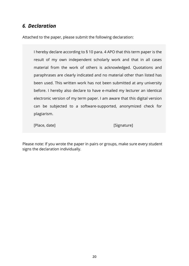## <span id="page-19-0"></span>*6. Declaration*

Attached to the paper, please submit the following declaration:

I hereby declare according to § 10 para. 4 APO that this term paper is the result of my own independent scholarly work and that in all cases material from the work of others is acknowledged. Quotations and paraphrases are clearly indicated and no material other than listed has been used. This written work has not been submitted at any university before. I hereby also declare to have e-mailed my lecturer an identical electronic version of my term paper. I am aware that this digital version can be subjected to a software-supported, anonymized check for plagiarism.

[Place, date] **[Contact Expression**] [Signature]

Please note: If you wrote the paper in pairs or groups, make sure every student signs the declaration individually.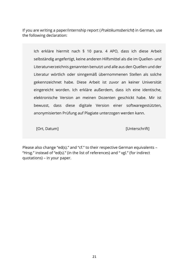If you are writing a paper/internship report (*Praktikumsbericht*) in German, use the following declaration:

Ich erkläre hiermit nach § 10 para. 4 APO, dass ich diese Arbeit selbständig angefertigt, keine anderen Hilfsmittel als die im Quellen- und Literaturverzeichnis genannten benutzt und alle aus den Quellen und der Literatur wörtlich oder sinngemäß übernommenen Stellen als solche gekennzeichnet habe. Diese Arbeit ist zuvor an keiner Universität eingereicht worden. Ich erkläre außerdem, dass ich eine identische, elektronische Version an meinen Dozenten geschickt habe. Mir ist bewusst, dass diese digitale Version einer softwaregestützten, anonymisierten Prüfung auf Plagiate unterzogen werden kann.

[Ort, Datum] [Unterschrift]

Please also change "ed(s)." and "cf." to their respective German equivalents – "Hrsg." instead of "ed(s)." (in the list of references) and " vgl." (for indirect quotations) – in your paper.